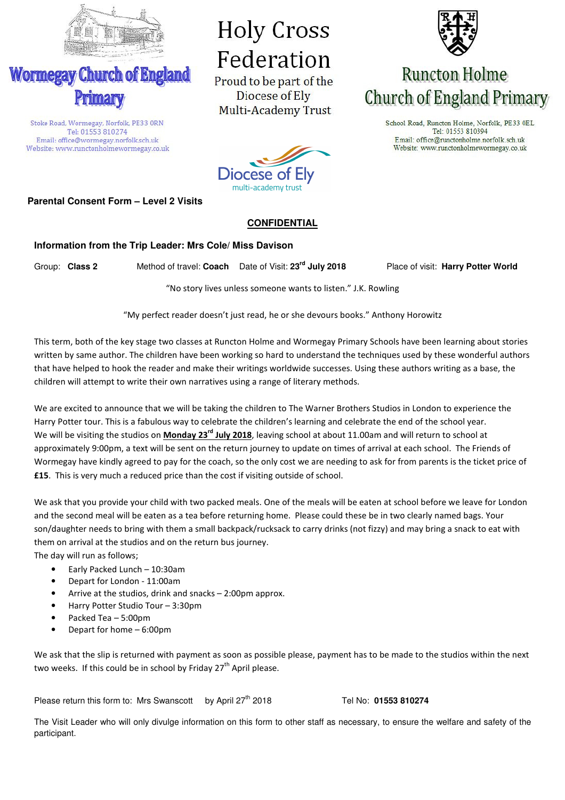

**Wormegay Church of England** 

Stoke Road, Wormegay, Norfolk, PE33 ORN

Tel: 01553 810274

Email: office@wormegay.norfolk.sch.uk Website: www.runctonholmewormegay.co.uk

# **Holy Cross** Federation

Proud to be part of the Diocese of Ely Multi-Academy Trust



# **Runcton Holme** Church of England Primary

School Road, Runcton Holme, Norfolk, PE33 OEL Tel: 01553 810394 Email: office@runctonholme.norfolk.sch.uk Website: www.runctonholmewormegay.co.uk



### **Parental Consent Form – Level 2 Visits**

#### **CONFIDENTIAL**

#### **Information from the Trip Leader: Mrs Cole/ Miss Davison**

Group: **Class 2** Method of travel: **Coach** Date of Visit: **23rd July 2018** Place of visit: **Harry Potter World** 

"No story lives unless someone wants to listen." J.K. Rowling

"My perfect reader doesn't just read, he or she devours books." Anthony Horowitz

This term, both of the key stage two classes at Runcton Holme and Wormegay Primary Schools have been learning about stories written by same author. The children have been working so hard to understand the techniques used by these wonderful authors that have helped to hook the reader and make their writings worldwide successes. Using these authors writing as a base, the children will attempt to write their own narratives using a range of literary methods.

We are excited to announce that we will be taking the children to The Warner Brothers Studios in London to experience the Harry Potter tour. This is a fabulous way to celebrate the children's learning and celebrate the end of the school year. We will be visiting the studios on **Monday 23rd July 2018**, leaving school at about 11.00am and will return to school at approximately 9:00pm, a text will be sent on the return journey to update on times of arrival at each school. The Friends of Wormegay have kindly agreed to pay for the coach, so the only cost we are needing to ask for from parents is the ticket price of **£15**. This is very much a reduced price than the cost if visiting outside of school.

We ask that you provide your child with two packed meals. One of the meals will be eaten at school before we leave for London and the second meal will be eaten as a tea before returning home. Please could these be in two clearly named bags. Your son/daughter needs to bring with them a small backpack/rucksack to carry drinks (not fizzy) and may bring a snack to eat with them on arrival at the studios and on the return bus journey.

The day will run as follows;

- Early Packed Lunch 10:30am
- Depart for London 11:00am
- Arrive at the studios, drink and snacks 2:00pm approx.
- Harry Potter Studio Tour 3:30pm
- Packed Tea 5:00pm
- Depart for home 6:00pm

We ask that the slip is returned with payment as soon as possible please, payment has to be made to the studios within the next two weeks. If this could be in school by Friday 27<sup>th</sup> April please.

Please return this form to: Mrs Swanscott by April 27<sup>th</sup> 2018 Tel No: 01553 810274

The Visit Leader who will only divulge information on this form to other staff as necessary, to ensure the welfare and safety of the participant.